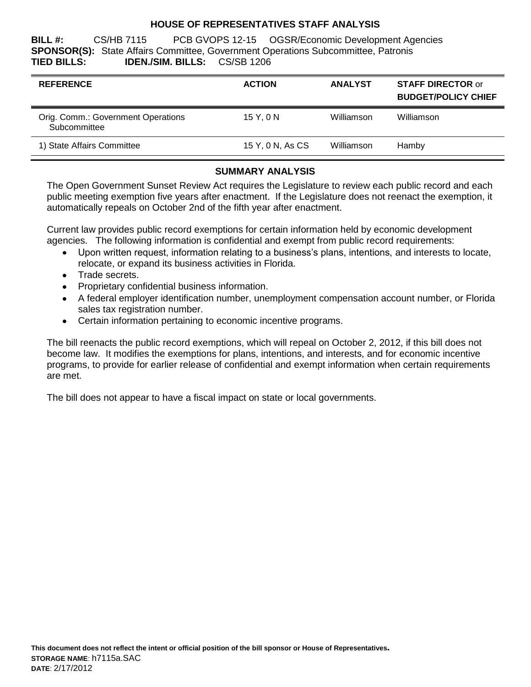## **HOUSE OF REPRESENTATIVES STAFF ANALYSIS**

**BILL #:** CS/HB 7115 PCB GVOPS 12-15 OGSR/Economic Development Agencies **SPONSOR(S):** State Affairs Committee, Government Operations Subcommittee, Patronis **TIED BILLS: IDEN./SIM. BILLS:** CS/SB 1206

| <b>REFERENCE</b>                                   | <b>ACTION</b>    | <b>ANALYST</b> | <b>STAFF DIRECTOR or</b><br><b>BUDGET/POLICY CHIEF</b> |
|----------------------------------------------------|------------------|----------------|--------------------------------------------------------|
| Orig. Comm.: Government Operations<br>Subcommittee | 15Y.0N           | Williamson     | Williamson                                             |
| 1) State Affairs Committee                         | 15 Y, 0 N, As CS | Williamson     | Hamby                                                  |

# **SUMMARY ANALYSIS**

The Open Government Sunset Review Act requires the Legislature to review each public record and each public meeting exemption five years after enactment. If the Legislature does not reenact the exemption, it automatically repeals on October 2nd of the fifth year after enactment.

Current law provides public record exemptions for certain information held by economic development agencies. The following information is confidential and exempt from public record requirements:

- Upon written request, information relating to a business's plans, intentions, and interests to locate,  $\bullet$ relocate, or expand its business activities in Florida.
- Trade secrets.
- Proprietary confidential business information.
- A federal employer identification number, unemployment compensation account number, or Florida sales tax registration number.
- Certain information pertaining to economic incentive programs.

The bill reenacts the public record exemptions, which will repeal on October 2, 2012, if this bill does not become law. It modifies the exemptions for plans, intentions, and interests, and for economic incentive programs, to provide for earlier release of confidential and exempt information when certain requirements are met.

The bill does not appear to have a fiscal impact on state or local governments.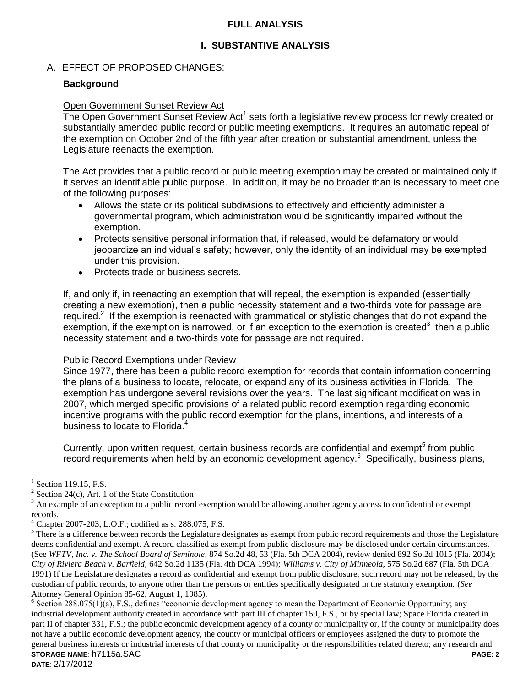## **FULL ANALYSIS**

## **I. SUBSTANTIVE ANALYSIS**

### A. EFFECT OF PROPOSED CHANGES:

### **Background**

#### Open Government Sunset Review Act

The Open Government Sunset Review Act<sup>1</sup> sets forth a legislative review process for newly created or substantially amended public record or public meeting exemptions. It requires an automatic repeal of the exemption on October 2nd of the fifth year after creation or substantial amendment, unless the Legislature reenacts the exemption.

The Act provides that a public record or public meeting exemption may be created or maintained only if it serves an identifiable public purpose. In addition, it may be no broader than is necessary to meet one of the following purposes:

- Allows the state or its political subdivisions to effectively and efficiently administer a governmental program, which administration would be significantly impaired without the exemption.
- Protects sensitive personal information that, if released, would be defamatory or would jeopardize an individual's safety; however, only the identity of an individual may be exempted under this provision.
- Protects trade or business secrets.  $\bullet$

If, and only if, in reenacting an exemption that will repeal, the exemption is expanded (essentially creating a new exemption), then a public necessity statement and a two-thirds vote for passage are required.<sup>2</sup> If the exemption is reenacted with grammatical or stylistic changes that do not expand the exemption, if the exemption is narrowed, or if an exception to the exemption is created<sup>3</sup> then a public necessity statement and a two-thirds vote for passage are not required.

#### Public Record Exemptions under Review

Since 1977, there has been a public record exemption for records that contain information concerning the plans of a business to locate, relocate, or expand any of its business activities in Florida. The exemption has undergone several revisions over the years. The last significant modification was in 2007, which merged specific provisions of a related public record exemption regarding economic incentive programs with the public record exemption for the plans, intentions, and interests of a business to locate to Florida.<sup>4</sup>

Currently, upon written request, certain business records are confidential and exempt<sup>5</sup> from public record requirements when held by an economic development agency.<sup>6</sup> Specifically, business plans,

 $\overline{a}$ 

<sup>1</sup> Section 119.15, F.S.

 $2^{2}$  Section 24(c), Art. 1 of the State Constitution

 $3$  An example of an exception to a public record exemption would be allowing another agency access to confidential or exempt records.

 $^{4}$  Chapter 2007-203, L.O.F.; codified as s. 288.075, F.S.

 $5$  There is a difference between records the Legislature designates as exempt from public record requirements and those the Legislature deems confidential and exempt. A record classified as exempt from public disclosure may be disclosed under certain circumstances. (See *WFTV, Inc. v. The School Board of Seminole*, 874 So.2d 48, 53 (Fla. 5th DCA 2004), review denied 892 So.2d 1015 (Fla. 2004); *City of Riviera Beach v. Barfield*, 642 So.2d 1135 (Fla. 4th DCA 1994); *Williams v. City of Minneola*, 575 So.2d 687 (Fla. 5th DCA 1991) If the Legislature designates a record as confidential and exempt from public disclosure, such record may not be released, by the custodian of public records, to anyone other than the persons or entities specifically designated in the statutory exemption. (*See* Attorney General Opinion 85-62, August 1, 1985).

**STORAGE NAME**: h7115a.SAC **PAGE: 2**  $6$  Section 288.075(1)(a), F.S., defines "economic development agency to mean the Department of Economic Opportunity; any industrial development authority created in accordance with part III of chapter 159, F.S., or by special law; Space Florida created in part II of chapter 331, F.S.; the public economic development agency of a county or municipality or, if the county or municipality does not have a public economic development agency, the county or municipal officers or employees assigned the duty to promote the general business interests or industrial interests of that county or municipality or the responsibilities related thereto; any research and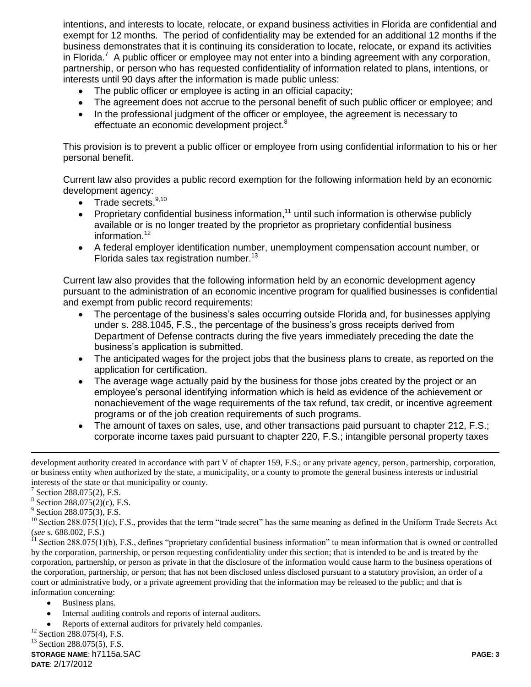intentions, and interests to locate, relocate, or expand business activities in Florida are confidential and exempt for 12 months. The period of confidentiality may be extended for an additional 12 months if the business demonstrates that it is continuing its consideration to locate, relocate, or expand its activities in Florida.<sup>7</sup> A public officer or employee may not enter into a binding agreement with any corporation, partnership, or person who has requested confidentiality of information related to plans, intentions, or interests until 90 days after the information is made public unless:

- The public officer or employee is acting in an official capacity;
- The agreement does not accrue to the personal benefit of such public officer or employee; and  $\bullet$
- In the professional judgment of the officer or employee, the agreement is necessary to  $\bullet$ effectuate an economic development project.<sup>8</sup>

This provision is to prevent a public officer or employee from using confidential information to his or her personal benefit.

Current law also provides a public record exemption for the following information held by an economic development agency:

- Trade secrets.<sup>9,10</sup>  $\bullet$
- Proprietary confidential business information,<sup>11</sup> until such information is otherwise publicly  $\bullet$ available or is no longer treated by the proprietor as proprietary confidential business information. 12
- A federal employer identification number, unemployment compensation account number, or Florida sales tax registration number.<sup>13</sup>

Current law also provides that the following information held by an economic development agency pursuant to the administration of an economic incentive program for qualified businesses is confidential and exempt from public record requirements:

- The percentage of the business's sales occurring outside Florida and, for businesses applying under s. 288.1045, F.S., the percentage of the business's gross receipts derived from Department of Defense contracts during the five years immediately preceding the date the business's application is submitted.
- The anticipated wages for the project jobs that the business plans to create, as reported on the application for certification.
- The average wage actually paid by the business for those jobs created by the project or an employee's personal identifying information which is held as evidence of the achievement or nonachievement of the wage requirements of the tax refund, tax credit, or incentive agreement programs or of the job creation requirements of such programs.
- The amount of taxes on sales, use, and other transactions paid pursuant to chapter 212, F.S.; corporate income taxes paid pursuant to chapter 220, F.S.; intangible personal property taxes

development authority created in accordance with part V of chapter 159, F.S.; or any private agency, person, partnership, corporation, or business entity when authorized by the state, a municipality, or a county to promote the general business interests or industrial interests of the state or that municipality or county.

 $\overline{a}$ 

8 Section 288.075(2)(c), F.S.

<sup>9</sup> Section 288.075(3), F.S.

 $10$  Section 288.075(1)(c), F.S., provides that the term "trade secret" has the same meaning as defined in the Uniform Trade Secrets Act (*see* s. 688.002, F.S.)

Section 288.075(1)(b), F.S., defines "proprietary confidential business information" to mean information that is owned or controlled by the corporation, partnership, or person requesting confidentiality under this section; that is intended to be and is treated by the corporation, partnership, or person as private in that the disclosure of the information would cause harm to the business operations of the corporation, partnership, or person; that has not been disclosed unless disclosed pursuant to a statutory provision, an order of a court or administrative body, or a private agreement providing that the information may be released to the public; and that is information concerning:

- Business plans.  $\bullet$
- Internal auditing controls and reports of internal auditors.
- Reports of external auditors for privately held companies.

 $12$  Section 288.075(4), F.S.

<sup>13</sup> Section 288.075(5), F.S.

<sup>&</sup>lt;sup>7</sup> Section 288.075(2), F.S.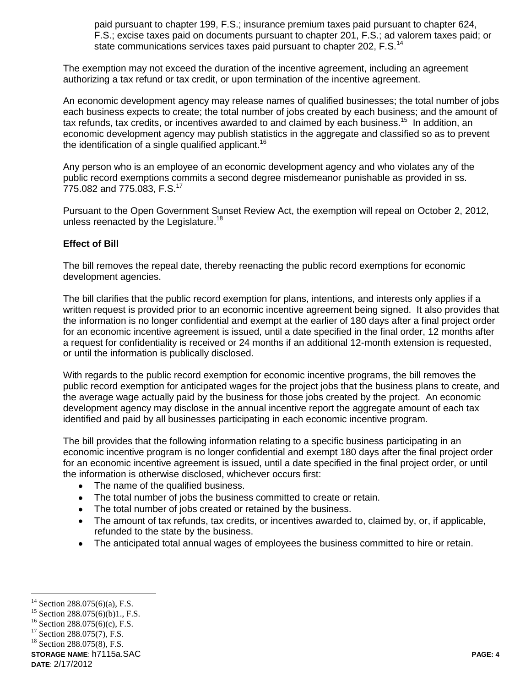paid pursuant to chapter 199, F.S.; insurance premium taxes paid pursuant to chapter 624, F.S.; excise taxes paid on documents pursuant to chapter 201, F.S.; ad valorem taxes paid; or state communications services taxes paid pursuant to chapter 202, F.S.<sup>14</sup>

The exemption may not exceed the duration of the incentive agreement, including an agreement authorizing a tax refund or tax credit, or upon termination of the incentive agreement.

An economic development agency may release names of qualified businesses; the total number of jobs each business expects to create; the total number of jobs created by each business; and the amount of tax refunds, tax credits, or incentives awarded to and claimed by each business.<sup>15</sup> In addition, an economic development agency may publish statistics in the aggregate and classified so as to prevent the identification of a single qualified applicant.<sup>16</sup>

Any person who is an employee of an economic development agency and who violates any of the public record exemptions commits a second degree misdemeanor punishable as provided in ss. 775.082 and 775.083, F.S.<sup>17</sup>

Pursuant to the Open Government Sunset Review Act, the exemption will repeal on October 2, 2012, unless reenacted by the Legislature.<sup>18</sup>

## **Effect of Bill**

The bill removes the repeal date, thereby reenacting the public record exemptions for economic development agencies.

The bill clarifies that the public record exemption for plans, intentions, and interests only applies if a written request is provided prior to an economic incentive agreement being signed. It also provides that the information is no longer confidential and exempt at the earlier of 180 days after a final project order for an economic incentive agreement is issued, until a date specified in the final order, 12 months after a request for confidentiality is received or 24 months if an additional 12-month extension is requested, or until the information is publically disclosed.

With regards to the public record exemption for economic incentive programs, the bill removes the public record exemption for anticipated wages for the project jobs that the business plans to create, and the average wage actually paid by the business for those jobs created by the project. An economic development agency may disclose in the annual incentive report the aggregate amount of each tax identified and paid by all businesses participating in each economic incentive program.

The bill provides that the following information relating to a specific business participating in an economic incentive program is no longer confidential and exempt 180 days after the final project order for an economic incentive agreement is issued, until a date specified in the final project order, or until the information is otherwise disclosed, whichever occurs first:

- The name of the qualified business.
- The total number of jobs the business committed to create or retain.  $\bullet$
- The total number of jobs created or retained by the business.  $\bullet$
- The amount of tax refunds, tax credits, or incentives awarded to, claimed by, or, if applicable,  $\bullet$ refunded to the state by the business.
- The anticipated total annual wages of employees the business committed to hire or retain.

**STORAGE NAME**: h7115a.SAC **PAGE: 4**

 $\overline{a}$ Section 288.075(6)(a), F.S.

<sup>&</sup>lt;sup>15</sup> Section 288.075(6)(b)1., F.S.

<sup>16</sup> Section 288.075(6)(c), F.S.

<sup>&</sup>lt;sup>17</sup> Section 288.075(7), F.S.

<sup>18</sup> Section 288.075(8), F.S.

**DATE**: 2/17/2012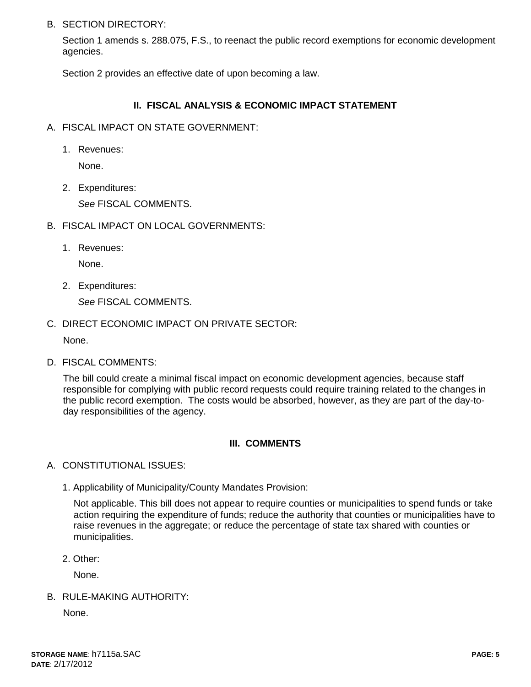### B. SECTION DIRECTORY:

Section 1 amends s. 288.075, F.S., to reenact the public record exemptions for economic development agencies.

Section 2 provides an effective date of upon becoming a law.

# **II. FISCAL ANALYSIS & ECONOMIC IMPACT STATEMENT**

- A. FISCAL IMPACT ON STATE GOVERNMENT:
	- 1. Revenues:

None.

2. Expenditures:

*See* FISCAL COMMENTS.

- B. FISCAL IMPACT ON LOCAL GOVERNMENTS:
	- 1. Revenues:

None.

2. Expenditures:

*See* FISCAL COMMENTS.

C. DIRECT ECONOMIC IMPACT ON PRIVATE SECTOR:

None.

D. FISCAL COMMENTS:

The bill could create a minimal fiscal impact on economic development agencies, because staff responsible for complying with public record requests could require training related to the changes in the public record exemption. The costs would be absorbed, however, as they are part of the day-today responsibilities of the agency.

# **III. COMMENTS**

- A. CONSTITUTIONAL ISSUES:
	- 1. Applicability of Municipality/County Mandates Provision:

Not applicable. This bill does not appear to require counties or municipalities to spend funds or take action requiring the expenditure of funds; reduce the authority that counties or municipalities have to raise revenues in the aggregate; or reduce the percentage of state tax shared with counties or municipalities.

2. Other:

None.

B. RULE-MAKING AUTHORITY:

None.